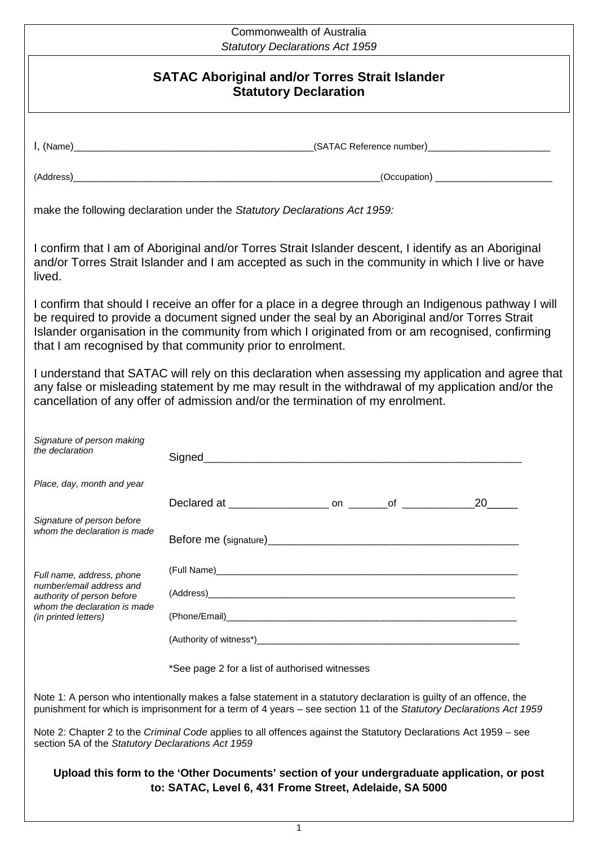## Commonwealth of Australia *Statutory Declarations Act 1959*

## **SATAC Aboriginal and/or Torres Strait Islander Statutory Declaration**

I, (Name)\_\_\_\_\_\_\_\_\_\_\_\_\_\_\_\_\_\_\_\_\_\_\_\_\_\_\_\_\_\_\_\_\_\_\_\_\_\_\_\_\_\_\_(SATAC Reference number)\_\_\_\_\_\_\_\_\_\_\_\_\_\_\_\_\_\_\_\_\_\_

(Address)\_\_\_\_\_\_\_\_\_\_\_\_\_\_\_\_\_\_\_\_\_\_\_\_\_\_\_\_\_\_\_\_\_\_\_\_\_\_\_\_\_\_\_\_\_\_\_\_\_\_\_\_\_\_\_(Occupation) \_\_\_\_\_\_\_\_\_\_\_\_\_\_\_\_\_\_\_\_\_

make the following declaration under the *Statutory Declarations Act 1959:*

I confirm that I am of Aboriginal and/or Torres Strait Islander descent, I identify as an Aboriginal and/or Torres Strait Islander and I am accepted as such in the community in which I live or have lived.

I confirm that should I receive an offer for a place in a degree through an Indigenous pathway I will be required to provide a document signed under the seal by an Aboriginal and/or Torres Strait Islander organisation in the community from which I originated from or am recognised, confirming that I am recognised by that community prior to enrolment.

I understand that SATAC will rely on this declaration when assessing my application and agree that any false or misleading statement by me may result in the withdrawal of my application and/or the cancellation of any offer of admission and/or the termination of my enrolment.

| Signature of person making<br>the declaration                                                                                                      |    |
|----------------------------------------------------------------------------------------------------------------------------------------------------|----|
| Place, day, month and year                                                                                                                         |    |
|                                                                                                                                                    | 20 |
| Signature of person before<br>whom the declaration is made                                                                                         |    |
| Full name, address, phone<br>number/email address and<br>authority of person before<br>whom the declaration is made<br><i>(in printed letters)</i> |    |
|                                                                                                                                                    |    |
|                                                                                                                                                    |    |
|                                                                                                                                                    |    |

\*See page 2 for a list of authorised witnesses

Note 1: A person who intentionally makes a false statement in a statutory declaration is guilty of an offence, the punishment for which is imprisonment for a term of 4 years – see section 11 of the *Statutory Declarations Act 1959*

Note 2: Chapter 2 to the *Criminal Code* applies to all offences against the Statutory Declarations Act 1959 – see section 5A of the *Statutory Declarations Act 1959*

## **Upload this form to the 'Other Documents' section of your undergraduate application, or post to: SATAC, Level 6, 431 Frome Street, Adelaide, SA 5000**